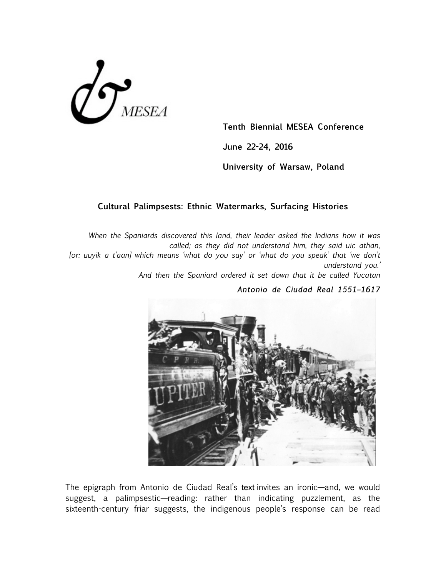

**Tenth Biennial MESEA Conference**

**June 22-24, 2016**

**University of Warsaw, Poland**

## **Cultural Palimpsests: Ethnic Watermarks, Surfacing Histories**

*When the Spaniards discovered this land, their leader asked the Indians how it was called; as they did not understand him, they said uic athan, [or: uuyik a t'aan] which means 'what do you say' or 'what do you speak' that 'we don't understand you.'* 

*And then the Spaniard ordered it set down that it be called Yucatan*

## *Antonio de Ciudad Real 1551–1617*



The epigraph from Antonio de Ciudad Real's text invites an ironic—and, we would suggest, a palimpsestic—reading: rather than indicating puzzlement, as the sixteenth-century friar suggests, the indigenous people's response can be read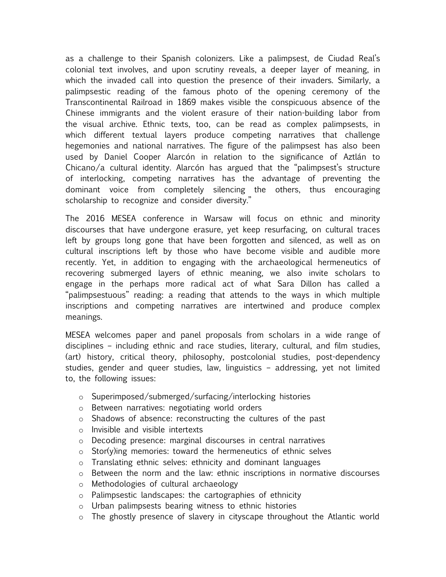as a challenge to their Spanish colonizers. Like a palimpsest, de Ciudad Real's colonial text involves, and upon scrutiny reveals, a deeper layer of meaning, in which the invaded call into question the presence of their invaders. Similarly, a palimpsestic reading of the famous photo of the opening ceremony of the Transcontinental Railroad in 1869 makes visible the conspicuous absence of the Chinese immigrants and the violent erasure of their nation-building labor from the visual archive. Ethnic texts, too, can be read as complex palimpsests, in which different textual layers produce competing narratives that challenge hegemonies and national narratives. The figure of the palimpsest has also been used by Daniel Cooper Alarcón in relation to the significance of Aztlán to Chicano/a cultural identity. Alarcón has argued that the "palimpsest's structure of interlocking, competing narratives has the advantage of preventing the dominant voice from completely silencing the others, thus encouraging scholarship to recognize and consider diversity."

The 2016 MESEA conference in Warsaw will focus on ethnic and minority discourses that have undergone erasure, yet keep resurfacing, on cultural traces left by groups long gone that have been forgotten and silenced, as well as on cultural inscriptions left by those who have become visible and audible more recently. Yet, in addition to engaging with the archaeological hermeneutics of recovering submerged layers of ethnic meaning, we also invite scholars to engage in the perhaps more radical act of what Sara Dillon has called a "palimpsestuous" reading: a reading that attends to the ways in which multiple inscriptions and competing narratives are intertwined and produce complex meanings.

MESEA welcomes paper and panel proposals from scholars in a wide range of disciplines – including ethnic and race studies, literary, cultural, and film studies, (art) history, critical theory, philosophy, postcolonial studies, post-dependency studies, gender and queer studies, law, linguistics – addressing, yet not limited to, the following issues:

- o Superimposed/submerged/surfacing/interlocking histories
- o Between narratives: negotiating world orders
- o Shadows of absence: reconstructing the cultures of the past
- o Invisible and visible intertexts
- o Decoding presence: marginal discourses in central narratives
- $\circ$  Stor(y)ing memories: toward the hermeneutics of ethnic selves
- o Translating ethnic selves: ethnicity and dominant languages
- o Between the norm and the law: ethnic inscriptions in normative discourses
- o Methodologies of cultural archaeology
- o Palimpsestic landscapes: the cartographies of ethnicity
- o Urban palimpsests bearing witness to ethnic histories
- o The ghostly presence of slavery in cityscape throughout the Atlantic world